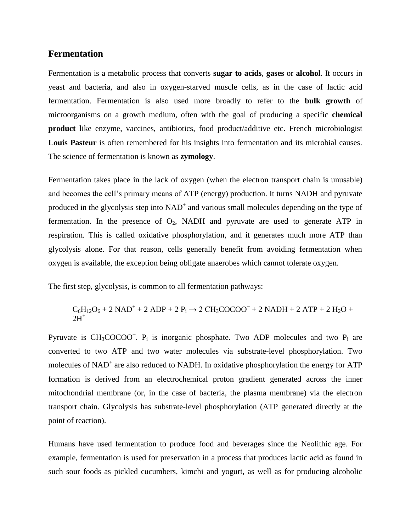#### **Fermentation**

Fermentation is a [metabolic](https://en.wikipedia.org/wiki/Metabolism) process that converts **[sugar](https://en.wikipedia.org/wiki/Sugar) to acids**, **gases** or **[alcohol](https://en.wikipedia.org/wiki/Alcohol)**. It occurs in [yeast](https://en.wikipedia.org/wiki/Yeast) and [bacteria,](https://en.wikipedia.org/wiki/Bacteria) and also in oxygen-starved muscle cells, as in the case of [lactic acid](https://en.wikipedia.org/wiki/Lactic_acid_fermentation)  [fermentation.](https://en.wikipedia.org/wiki/Lactic_acid_fermentation) Fermentation is also used more broadly to refer to the **bulk growth** of [microorganisms](https://en.wikipedia.org/wiki/Microorganism) on a [growth medium,](https://en.wikipedia.org/wiki/Growth_medium) often with the goal of producing a specific **chemical product** like enzyme, vaccines, antibiotics, food product/additive etc. French microbiologist **[Louis Pasteur](https://en.wikipedia.org/wiki/Louis_Pasteur)** is often remembered for his insights into fermentation and its microbial causes. The science of fermentation is known as **[zymology](https://en.wikipedia.org/wiki/Zymology)**.

Fermentation takes place in the lack of oxygen (when the [electron transport chain](https://en.wikipedia.org/wiki/Electron_transport_chain) is unusable) and becomes the cell's primary means of [ATP](https://en.wikipedia.org/wiki/Adenosine_triphosphate) (energy) production. It turns [NADH](https://en.wikipedia.org/wiki/NADH) and [pyruvate](https://en.wikipedia.org/wiki/Pyruvate) produced in the [glycolysis](https://en.wikipedia.org/wiki/Glycolysis) step into  $NAD^+$  and various small molecules depending on the type of fermentation. In the presence of  $O_2$ , NADH and pyruvate are used to generate ATP in [respiration.](https://en.wikipedia.org/wiki/Cellular_respiration) This is called [oxidative phosphorylation,](https://en.wikipedia.org/wiki/Oxidative_phosphorylation) and it generates much more ATP than glycolysis alone. For that reason, cells generally benefit from avoiding fermentation when oxygen is available, the exception being [obligate anaerobes](https://en.wikipedia.org/wiki/Obligate_anaerobe) which cannot tolerate oxygen.

The first step, glycolysis, is common to all fermentation pathways:

## $C_6H_{12}O_6 + 2$  NAD<sup>+</sup> + 2 ADP + 2 P<sub>i</sub>  $\rightarrow$  2 CH<sub>3</sub>COCOO<sup>-</sup> + 2 NADH + 2 ATP + 2 H<sub>2</sub>O +  $2H^+$

[Pyruvate](https://en.wikipedia.org/wiki/Pyruvate) is  $CH_3COCOO^-$ . P<sub>i</sub> is [inorganic phosphate.](https://en.wikipedia.org/wiki/Inorganic_phosphate) Two [ADP](https://en.wikipedia.org/wiki/Adenosine_diphosphate) molecules and two P<sub>i</sub> are converted to two [ATP](https://en.wikipedia.org/wiki/Adenosine_triphosphate) and two water molecules via [substrate-level phosphorylation.](https://en.wikipedia.org/wiki/Substrate-level_phosphorylation) Two molecules of [NAD](https://en.wikipedia.org/wiki/Nicotinamide_adenine_dinucleotide)<sup>+</sup> are also reduced to [NADH.](https://en.wikipedia.org/wiki/Nicotinamide_adenine_dinucleotide) In oxidative phosphorylation the energy for ATP formation is derived from an [electrochemical proton gradient](https://en.wikipedia.org/wiki/Electrochemical_gradient) generated across the [inner](https://en.wikipedia.org/wiki/Inner_mitochondrial_membrane)  [mitochondrial membrane](https://en.wikipedia.org/wiki/Inner_mitochondrial_membrane) (or, in the case of bacteria, the [plasma membrane\)](https://en.wikipedia.org/wiki/Cell_membrane) via the electron transport chain. Glycolysis has substrate-level phosphorylation (ATP generated directly at the point of reaction).

Humans have used fermentation to produce food and beverages since the [Neolithic age.](https://en.wikipedia.org/wiki/Neolithic_age) For example, fermentation is used for preservation in a process that produces [lactic acid](https://en.wikipedia.org/wiki/Lactic_acid) as found in such sour [foods](https://en.wikipedia.org/wiki/Food) as [pickled cucumbers,](https://en.wikipedia.org/wiki/Pickled_cucumber) [kimchi](https://en.wikipedia.org/wiki/Kimchi) and [yogurt,](https://en.wikipedia.org/wiki/Yogurt) as well as for producing alcoholic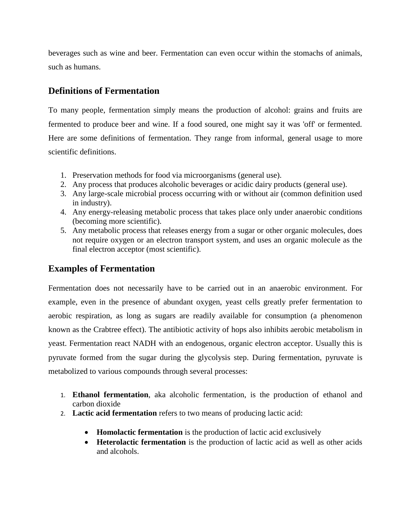beverages such as [wine](https://en.wikipedia.org/wiki/Wine) and [beer.](https://en.wikipedia.org/wiki/Beer) Fermentation can even occur within the stomachs of animals, such as humans.

# **Definitions of Fermentation**

To many people, fermentation simply means the production of alcohol: grains and fruits are fermented to produce beer and wine. If a food soured, one might say it was 'off' or fermented. Here are some definitions of fermentation. They range from informal, general usage to more scientific definitions.

- 1. Preservation methods for food via [microorganisms](https://en.wikipedia.org/wiki/Microorganisms) (general use).
- 2. Any process that produces alcoholic beverages or acidic dairy products (general use).
- 3. Any large-scale microbial process occurring with or without air (common definition used in industry).
- 4. Any energy-releasing metabolic process that takes place only under anaerobic conditions (becoming more scientific).
- 5. Any metabolic process that releases energy from a sugar or other organic molecules, does not require oxygen or an electron transport system, and uses an organic molecule as the final electron acceptor (most scientific).

# **Examples of Fermentation**

Fermentation does not necessarily have to be carried out in an [anaerobic](https://en.wiktionary.org/wiki/anaerobic) environment. For example, even in the presence of abundant oxygen, [yeast](https://en.wikipedia.org/wiki/Yeast) cells greatly prefer fermentation to [aerobic respiration,](https://en.wikipedia.org/wiki/Aerobic_respiration) as long as [sugars](https://en.wikipedia.org/wiki/Sugar#Chemistry) are readily available for consumption (a phenomenon known as the [Crabtree effect\)](https://en.wikipedia.org/wiki/Crabtree_effect). The antibiotic activity of [hops](https://en.wikipedia.org/wiki/Hops) also inhibits aerobic metabolism in yeast. Fermentation react [NADH](https://en.wikipedia.org/wiki/NADH) with an [endogenous,](https://en.wikipedia.org/wiki/Endogeny) [organic](https://en.wikipedia.org/wiki/Organic_compound) [electron acceptor.](https://en.wikipedia.org/wiki/Electron_acceptor) Usually this is pyruvate formed from the sugar during the glycolysis step. During fermentation, [pyruvate](https://en.wikipedia.org/wiki/Pyruvate) is metabolized to various compounds through several processes:

- 1. **[Ethanol fermentation](https://en.wikipedia.org/wiki/Ethanol_fermentation)**, aka alcoholic fermentation, is the production of [ethanol](https://en.wikipedia.org/wiki/Ethanol) and [carbon dioxide](https://en.wikipedia.org/wiki/Carbon_dioxide)
- 2. **[Lactic acid fermentation](https://en.wikipedia.org/wiki/Lactic_acid_fermentation)** refers to two means of producing [lactic acid:](https://en.wikipedia.org/wiki/Lactic_acid)
	- **Homolactic fermentation** is the production of lactic acid exclusively
	- **Heterolactic fermentation** is the production of lactic acid as well as other acids and alcohols.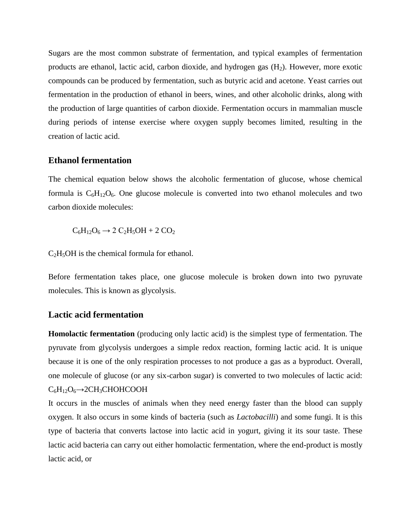Sugars are the most common [substrate](https://en.wikipedia.org/wiki/Substrate_%28biochemistry%29) of fermentation, and typical examples of fermentation products are [ethanol,](https://en.wikipedia.org/wiki/Ethanol) [lactic acid,](https://en.wikipedia.org/wiki/Lactic_acid) [carbon dioxide,](https://en.wikipedia.org/wiki/Carbon_dioxide) and hydrogen gas  $(H<sub>2</sub>)$ . However, more exotic compounds can be produced by fermentation, such as [butyric acid](https://en.wikipedia.org/wiki/Butyric_acid) and [acetone.](https://en.wikipedia.org/wiki/Acetone) [Yeast](https://en.wikipedia.org/wiki/Yeast) carries out [fermentation](https://en.wikipedia.org/wiki/Fermentation_%28food%29) in the production of [ethanol](https://en.wikipedia.org/wiki/Ethanol) in [beers,](https://en.wikipedia.org/wiki/Beer) [wines,](https://en.wikipedia.org/wiki/Wine) and other alcoholic drinks, along with the production of large quantities of [carbon dioxide.](https://en.wikipedia.org/wiki/Carbon_dioxide) Fermentation occurs in [mammalian](https://en.wikipedia.org/wiki/Mammal) [muscle](https://en.wikipedia.org/wiki/Muscle) during periods of intense exercise where oxygen supply becomes limited, resulting in the creation of [lactic acid.](https://en.wikipedia.org/wiki/Lactic_acid)

#### **Ethanol fermentation**

The [chemical equation](https://en.wikipedia.org/wiki/Chemical_equation) below shows the alcoholic fermentation of [glucose,](https://en.wikipedia.org/wiki/Glucose) whose [chemical](https://en.wikipedia.org/wiki/Chemical_formula)  [formula](https://en.wikipedia.org/wiki/Chemical_formula) is  $C_6H_{12}O_6$ . One glucose molecule is converted into two [ethanol](https://en.wikipedia.org/wiki/Ethanol) molecules and two [carbon dioxide](https://en.wikipedia.org/wiki/Carbon_dioxide) molecules:

 $C_6H_{12}O_6 \rightarrow 2 C_2H_5OH + 2 CO_2$ 

 $C_2H_5OH$  is the [chemical formula](https://en.wikipedia.org/wiki/Chemical_formula) for [ethanol.](https://en.wikipedia.org/wiki/Ethanol)

Before fermentation takes place, one [glucose](https://en.wikipedia.org/wiki/Glucose) molecule is broken down into two [pyruvate](https://en.wikipedia.org/wiki/Pyruvate) molecules. This is known as [glycolysis.](https://en.wikipedia.org/wiki/Glycolysis)

### **Lactic acid fermentation**

**Homolactic fermentation** (producing only lactic acid) is the simplest type of fermentation. The pyruvate from glycolysis undergoes a simple [redox](https://en.wikipedia.org/wiki/Redox) reaction, forming [lactic acid.](https://en.wikipedia.org/wiki/Lactic_acid) It is unique because it is one of the only respiration processes to not produce a gas as a byproduct. Overall, one molecule of glucose (or any six-carbon sugar) is converted to two molecules of lactic acid:  $C_6H_{12}O_6 \rightarrow 2CH_3CHOHCOOH$ 

It occurs in the muscles of animals when they need energy faster than the [blood](https://en.wikipedia.org/wiki/Blood) can supply oxygen. It also occurs in some kinds of [bacteria](https://en.wikipedia.org/wiki/Bacterium) (such as *[Lactobacilli](https://en.wikipedia.org/wiki/Lactobacilli)*) and some [fungi.](https://en.wikipedia.org/wiki/Fungi) It is this type of bacteria that converts [lactose](https://en.wikipedia.org/wiki/Lactose) into lactic acid in [yogurt,](https://en.wikipedia.org/wiki/Yogurt) giving it its sour taste. These lactic acid bacteria can carry out either homolactic fermentation, where the end-product is mostly lactic acid, or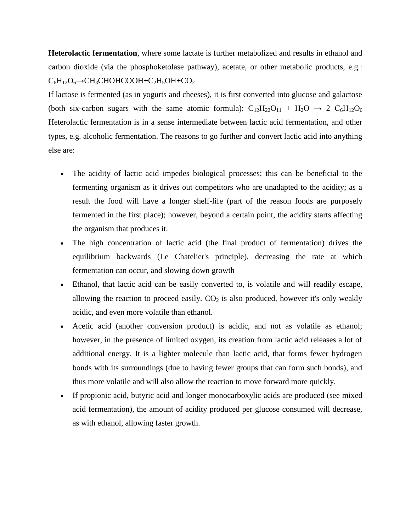**Heterolactic fermentation**, where some lactate is further metabolized and results in ethanol and carbon dioxide (via the [phosphoketolase](https://en.wikipedia.org/wiki/Phosphoketolase) pathway), acetate, or other metabolic products, e.g.:  $C_6H_{12}O_6 \rightarrow CH_3CHOHCOOH + C_2H_5OH + CO_2$ 

If lactose is fermented (as in yogurts and cheeses), it is first converted into glucose and galactose (both six-carbon sugars with the same atomic formula):  $C_{12}H_{22}O_{11} + H_2O \rightarrow 2 C_6H_{12}O_6$ Heterolactic fermentation is in a sense intermediate between lactic acid fermentation, and other types, e.g. alcoholic fermentation. The reasons to go further and convert lactic acid into anything else are:

- The acidity of lactic acid impedes biological processes; this can be beneficial to the fermenting organism as it drives out competitors who are unadapted to the acidity; as a result the food will have a longer shelf-life (part of the reason foods are purposely fermented in the first place); however, beyond a certain point, the acidity starts affecting the organism that produces it.
- The high concentration of lactic acid (the final product of fermentation) drives the equilibrium backwards [\(Le Chatelier's principle\)](https://en.wikipedia.org/wiki/Le_Chatelier%27s_principle), decreasing the rate at which fermentation can occur, and slowing down growth
- Ethanol, that lactic acid can be easily converted to, is volatile and will readily escape, allowing the reaction to proceed easily.  $CO<sub>2</sub>$  is also produced, however it's only weakly acidic, and even more volatile than ethanol.
- Acetic acid (another conversion product) is acidic, and not as volatile as ethanol; however, in the presence of limited oxygen, its creation from lactic acid releases a lot of additional energy. It is a lighter molecule than lactic acid, that forms fewer hydrogen bonds with its surroundings (due to having fewer groups that can form such bonds), and thus more volatile and will also allow the reaction to move forward more quickly.
- If [propionic acid,](https://en.wikipedia.org/wiki/Propionic_acid) [butyric acid](https://en.wikipedia.org/wiki/Butyric_acid) and longer monocarboxylic acids are produced (see [mixed](https://en.wikipedia.org/wiki/Mixed_acid_fermentation)  [acid fermentation\)](https://en.wikipedia.org/wiki/Mixed_acid_fermentation), the amount of acidity produced per glucose consumed will decrease, as with ethanol, allowing faster growth.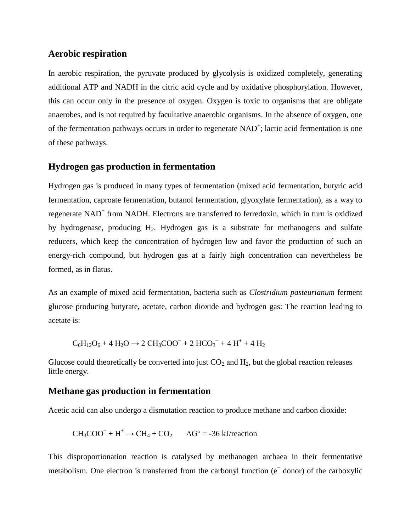#### **Aerobic respiration**

In [aerobic respiration,](https://en.wikipedia.org/wiki/Aerobic_respiration) the pyruvate produced by glycolysis is oxidized completely, generating additional ATP and NADH in the [citric acid cycle](https://en.wikipedia.org/wiki/Citric_acid_cycle) and by [oxidative phosphorylation.](https://en.wikipedia.org/wiki/Oxidative_phosphorylation) However, this can occur only in the presence of oxygen. Oxygen is toxic to organisms that are [obligate](https://en.wikipedia.org/wiki/Obligate_anaerobe)  [anaerobes,](https://en.wikipedia.org/wiki/Obligate_anaerobe) and is not required by [facultative anaerobic organisms.](https://en.wikipedia.org/wiki/Facultative_anaerobic_organism) In the absence of oxygen, one of the fermentation pathways occurs in order to regenerate [NAD](https://en.wikipedia.org/wiki/NAD%2B)<sup>+</sup>; lactic acid fermentation is one of these pathways.

#### **Hydrogen gas production in fermentation**

[Hydrogen](https://en.wikipedia.org/wiki/Hydrogen) gas is produced in many types of fermentation [\(mixed acid fermentation,](https://en.wikipedia.org/wiki/Mixed_acid_fermentation) [butyric acid](https://en.wikipedia.org/wiki/Butyric_acid) fermentation, [caproate](https://en.wikipedia.org/wiki/Caproate) fermentation, [butanol](https://en.wikipedia.org/wiki/Butanol) fermentation, [glyoxylate](https://en.wikipedia.org/wiki/Glyoxylate) fermentation), as a way to regenerate NAD<sup>+</sup> from NADH. [Electrons](https://en.wikipedia.org/wiki/Electron) are transferred to [ferredoxin,](https://en.wikipedia.org/wiki/Ferredoxin) which in turn is oxidized by [hydrogenase,](https://en.wikipedia.org/wiki/Hydrogenase) producing  $H_2$ . Hydrogen gas is a [substrate](https://en.wikipedia.org/wiki/Substrate_%28biochemistry%29) for [methanogens](https://en.wikipedia.org/wiki/Methanogen) and sulfate [reducers,](https://en.wikipedia.org/wiki/Sulfate-reducing_bacteria) which keep the concentration of hydrogen low and favor the production of such an energy-rich compound, but hydrogen gas at a fairly high concentration can nevertheless be formed, as in [flatus.](https://en.wikipedia.org/wiki/Flatus)

As an example of mixed acid fermentation, bacteria such as *[Clostridium pasteurianum](https://en.wikipedia.org/wiki/Clostridium_pasteurianum)* ferment glucose producing [butyrate,](https://en.wikipedia.org/wiki/Butyric_acid) [acetate,](https://en.wikipedia.org/wiki/Acetic_acid) [carbon dioxide](https://en.wikipedia.org/wiki/Carbon_dioxide) and hydrogen gas: The reaction leading to acetate is:

$$
C_6H_{12}O_6 + 4 H_2O \rightarrow 2 CH_3COO^{-} + 2 HCO_3^- + 4 H^+ + 4 H_2
$$

Glucose could theoretically be converted into just  $CO<sub>2</sub>$  and  $H<sub>2</sub>$ , but the global reaction releases little energy.

### **Methane gas production in fermentation**

[Acetic acid](https://en.wikipedia.org/wiki/Acetic_acid) can also undergo a [dismutation](https://en.wikipedia.org/wiki/Dismutation) reaction to produce [methane](https://en.wikipedia.org/wiki/Methane) and [carbon dioxide:](https://en.wikipedia.org/wiki/Carbon_dioxide)

$$
CH_3COO^- + H^+ \rightarrow CH_4 + CO_2 \qquad \Delta G^{\circ} = -36 \text{ kJ/reaction}
$$

This [disproportionation](https://en.wikipedia.org/wiki/Disproportionation) reaction is catalysed by [methanogen](https://en.wikipedia.org/wiki/Methanogen) [archaea](https://en.wikipedia.org/wiki/Archaea) in their fermentative metabolism. One electron is transferred from the [carbonyl](https://en.wikipedia.org/wiki/Carbonyl) function (e⊤ [donor\)](https://en.wikipedia.org/wiki/Electron_donor) of the [carboxylic](https://en.wikipedia.org/wiki/Carboxylic)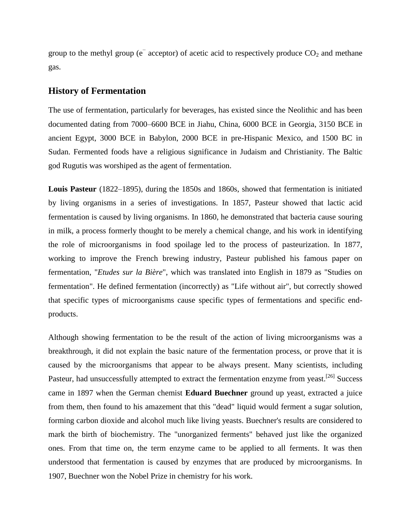group to the [methyl](https://en.wikipedia.org/wiki/Methyl) group ( $e^-$  [acceptor\)](https://en.wikipedia.org/wiki/Electron_acceptor) of acetic acid to respectively produce  $CO_2$  and methane gas.

#### **History of Fermentation**

The use of [fermentation,](https://en.wikipedia.org/wiki/Fermentation_in_food_processing) particularly for [beverages,](https://en.wikipedia.org/wiki/Alcoholic_beverage) has existed since the [Neolithic](https://en.wikipedia.org/wiki/Neolithic) and has been documented dating from 7000–6600 BCE in [Jiahu,](https://en.wikipedia.org/wiki/Jiahu) [China,](https://en.wikipedia.org/wiki/Neolithic_China) 6000 BCE in Georgia, 3150 BCE in [ancient Egypt,](https://en.wikipedia.org/wiki/Ancient_Egypt) 3000 BCE in [Babylon,](https://en.wikipedia.org/wiki/Babylon) 2000 BCE in pre-Hispanic Mexico, and 1500 BC in [Sudan.](https://en.wikipedia.org/wiki/Sudan) Fermented foods have a religious significance in [Judaism](https://en.wikipedia.org/wiki/Chametz) and [Christianity.](https://en.wikipedia.org/wiki/Christianity_and_alcohol) The [Baltic](https://en.wikipedia.org/wiki/Baltic_mythology)  [god](https://en.wikipedia.org/wiki/Baltic_mythology) Rugutis was worshiped as the agent of fermentation.

**[Louis Pasteur](https://en.wikipedia.org/wiki/Louis_Pasteur)** (1822–1895), during the 1850s and 1860s, showed that fermentation is initiated by living organisms in a series of investigations. In 1857, Pasteur showed that lactic acid fermentation is caused by living organisms. In 1860, he demonstrated that bacteria cause [souring](https://en.wikipedia.org/wiki/Souring) in milk, a process formerly thought to be merely a chemical change, and his work in identifying the role of microorganisms in food spoilage led to the process of [pasteurization.](https://en.wikipedia.org/wiki/Pasteurization) In 1877, working to improve the French [brewing industry,](https://en.wikipedia.org/wiki/Brewing_industry) Pasteur published his famous paper on fermentation, "*Etudes sur la Bière*", which was translated into English in 1879 as "Studies on fermentation". He defined fermentation (incorrectly) as "Life without air", but correctly showed that specific types of microorganisms cause specific types of fermentations and specific endproducts.

Although showing fermentation to be the result of the action of living microorganisms was a breakthrough, it did not explain the basic nature of the fermentation process, or prove that it is caused by the microorganisms that appear to be always present. Many scientists, including Pasteur, had unsuccessfully attempted to extract the fermentation [enzyme](https://en.wikipedia.org/wiki/Enzyme) from [yeast.](https://en.wikipedia.org/wiki/Yeast)<sup>[\[26\]](https://en.wikipedia.org/wiki/Fermentation#cite_note-Modern_History_Sourcebook_1895-26)</sup> Success came in 1897 when the German chemist **[Eduard Buechner](https://en.wikipedia.org/wiki/Eduard_Buechner)** ground up yeast, extracted a juice from them, then found to his amazement that this "dead" liquid would ferment a sugar solution, forming carbon dioxide and alcohol much like living yeasts. Buechner's results are considered to mark the birth of biochemistry. The "unorganized ferments" behaved just like the organized ones. From that time on, the term enzyme came to be applied to all ferments. It was then understood that fermentation is caused by enzymes that are produced by microorganisms. In 1907, Buechner won the [Nobel Prize in chemistry](https://en.wikipedia.org/wiki/Nobel_Prize_in_chemistry) for his work.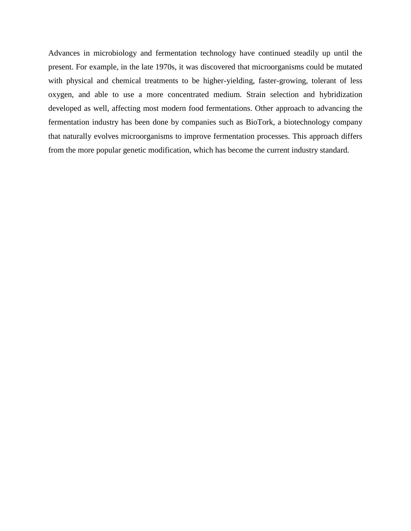Advances in microbiology and fermentation technology have continued steadily up until the present. For example, in the late 1970s, it was discovered that microorganisms could be [mutated](https://en.wikipedia.org/wiki/Mutation) with physical and chemical treatments to be higher-yielding, faster-growing, tolerant of less oxygen, and able to use a more concentrated medium. Strain [selection](https://en.wikipedia.org/wiki/Selection_%28biology%29) and [hybridization](https://en.wikipedia.org/wiki/Hybrid_%28biology%29) developed as well, affecting most modern [food fermentations.](https://en.wikipedia.org/wiki/Fermentation_%28food%29) Other approach to advancing the fermentation industry has been done by companies such as [BioTork,](https://en.wikipedia.org/wiki/BioTork) a [biotechnology](https://en.wikipedia.org/wiki/Biotechnology) company that naturally [evolves](https://en.wikipedia.org/wiki/Evolves) microorganisms to improve fermentation processes. This approach differs from the more popular [genetic modification,](https://en.wikipedia.org/wiki/Genetic_modification) which has become the current industry standard.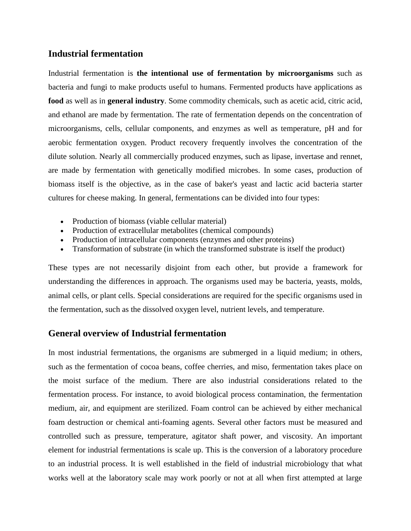### **Industrial fermentation**

Industrial fermentation is **the intentional use of [fermentation](https://en.wikipedia.org/wiki/Fermentation_%28biochemistry%29) by [microorganisms](https://en.wikipedia.org/wiki/Microorganism)** such as [bacteria](https://en.wikipedia.org/wiki/Bacteria) and [fungi](https://en.wikipedia.org/wiki/Fungi) to make products useful to humans. Fermented products have applications as **[food](https://en.wikipedia.org/wiki/Food)** as well as in **general [industry](https://en.wikipedia.org/wiki/Industry)**. Some commodity chemicals, such as [acetic acid,](https://en.wikipedia.org/wiki/Acetic_acid) [citric acid,](https://en.wikipedia.org/wiki/Citric_acid) and [ethanol](https://en.wikipedia.org/wiki/Ethanol) are made by fermentation. The rate of fermentation depends on the concentration of microorganisms, cells, cellular components, and enzymes as well as temperature, pH and for [aerobic](https://en.wikipedia.org/wiki/Aerobic_respiration) fermentation oxygen. Product recovery frequently involves the concentration of the dilute solution. Nearly all commercially produced enzymes, such as [lipase,](https://en.wikipedia.org/wiki/Lipase) [invertase](https://en.wikipedia.org/wiki/Invertase) and [rennet,](https://en.wikipedia.org/wiki/Rennet) are made by fermentation with [genetically modified microbes.](https://en.wikipedia.org/wiki/Genetic_engineering) In some cases, production of biomass itself is the objective, as in the case of [baker's yeast](https://en.wikipedia.org/wiki/Baker%27s_yeast) and lactic acid bacteria [starter](https://en.wikipedia.org/wiki/Starter_cultures)  [cultures](https://en.wikipedia.org/wiki/Starter_cultures) for cheese making. In general, fermentations can be divided into four types:

- Production of biomass (viable cellular material)
- Production of extracellular metabolites (chemical compounds)
- Production of intracellular components (enzymes and other proteins)
- Transformation of substrate (in which the transformed substrate is itself the product)

These types are not necessarily disjoint from each other, but provide a framework for understanding the differences in approach. The organisms used may be bacteria, yeasts, molds, animal cells, or plant cells. Special considerations are required for the specific organisms used in the fermentation, such as the dissolved [oxygen](https://en.wikipedia.org/wiki/Oxygen) level, nutrient levels, and [temperature.](https://en.wikipedia.org/wiki/Temperature)

## **General overview of Industrial fermentation**

In most industrial fermentations, the organisms are submerged in a liquid medium; in others, such as the fermentation of [cocoa beans,](https://en.wikipedia.org/wiki/Cocoa_bean) [coffee](https://en.wikipedia.org/wiki/Coffee) cherries, and [miso,](https://en.wikipedia.org/wiki/Miso) fermentation takes place on the moist surface of the medium. There are also industrial considerations related to the fermentation process. For instance, to avoid biological process contamination, the fermentation medium, air, and equipment are sterilized. Foam control can be achieved by either mechanical foam destruction or chemical anti-foaming agents. Several other factors must be measured and controlled such as pressure, temperature, agitator shaft power, and viscosity. An important element for industrial fermentations is scale up. This is the conversion of a laboratory procedure to an industrial process. It is well established in the field of industrial microbiology that what works well at the laboratory scale may work poorly or not at all when first attempted at large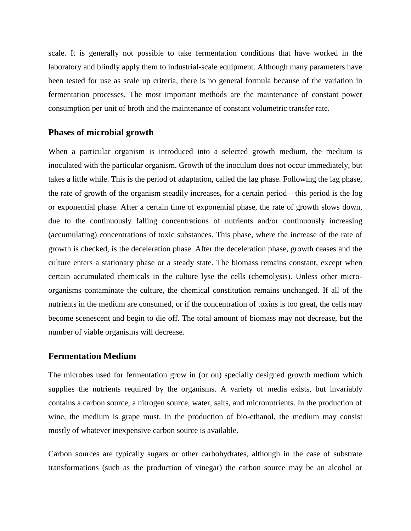scale. It is generally not possible to take fermentation conditions that have worked in the laboratory and blindly apply them to industrial-scale equipment. Although many parameters have been tested for use as scale up criteria, there is no general formula because of the variation in fermentation processes. The most important methods are the maintenance of constant power consumption per unit of broth and the maintenance of constant volumetric transfer rate.

#### **Phases of microbial growth**

When a particular organism is introduced into a selected growth medium, the medium is inoculated with the particular organism. Growth of the inoculum does not occur immediately, but takes a little while. This is the period of adaptation, called the lag phase. Following the lag phase, the rate of growth of the organism steadily increases, for a certain period—this period is the log or exponential phase. After a certain time of exponential phase, the rate of growth slows down, due to the continuously falling concentrations of nutrients and/or continuously increasing (accumulating) concentrations of toxic substances. This phase, where the increase of the rate of growth is checked, is the deceleration phase. After the deceleration phase, growth ceases and the culture enters a stationary phase or a steady state. The biomass remains constant, except when certain accumulated chemicals in the culture lyse the cells (chemolysis). Unless other microorganisms contaminate the culture, the chemical constitution remains unchanged. If all of the nutrients in the medium are consumed, or if the concentration of toxins is too great, the cells may become [scenescent](https://en.wikipedia.org/wiki/Senescence) and begin to die off. The total amount of biomass may not decrease, but the number of viable organisms will decrease.

#### **Fermentation Medium**

The microbes used for fermentation grow in (or on) specially designed [growth medium](https://en.wikipedia.org/wiki/Growth_medium) which supplies the nutrients required by the organisms. A variety of media exists, but invariably contains a carbon source, a nitrogen source, water, salts, and micronutrients. In the production of wine, the medium is grape must. In the production of bio-ethanol, the medium may consist mostly of whatever inexpensive carbon source is available.

Carbon sources are typically sugars or other carbohydrates, although in the case of substrate transformations (such as the production of vinegar) the carbon source may be an alcohol or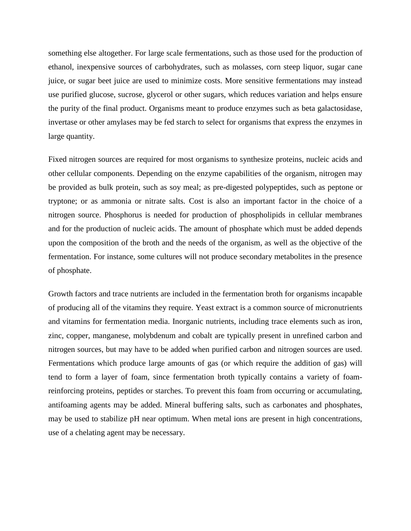something else altogether. For large scale fermentations, such as those used for the production of ethanol, inexpensive sources of carbohydrates, such as [molasses,](https://en.wikipedia.org/wiki/Molasses) [corn steep liquor,](https://en.wikipedia.org/wiki/Corn_steep_liquor) sugar cane juice, or sugar beet juice are used to minimize costs. More sensitive fermentations may instead use purified [glucose,](https://en.wikipedia.org/wiki/Glucose) [sucrose,](https://en.wikipedia.org/wiki/Sucrose) [glycerol](https://en.wikipedia.org/wiki/Glycerol) or other sugars, which reduces variation and helps ensure the purity of the final product. Organisms meant to produce enzymes such as [beta galactosidase,](https://en.wikipedia.org/wiki/Beta_galactosidase) [invertase](https://en.wikipedia.org/wiki/Invertase) or other amylases may be fed starch to select for organisms that express the enzymes in large quantity.

[Fixed nitrogen](https://en.wikipedia.org/wiki/Nitrogen_fixation) sources are required for most organisms to synthesize [proteins,](https://en.wikipedia.org/wiki/Proteins) [nucleic acids](https://en.wikipedia.org/wiki/Nucleic_acid) and other cellular components. Depending on the enzyme capabilities of the organism, nitrogen may be provided as bulk protein, such as soy meal; as pre-digested polypeptides, such as [peptone](https://en.wikipedia.org/wiki/Peptone) or [tryptone;](https://en.wikipedia.org/wiki/Tryptone) or as ammonia or nitrate salts. Cost is also an important factor in the choice of a nitrogen source. Phosphorus is needed for production of [phospholipids](https://en.wikipedia.org/wiki/Phospholipids) in cellular membranes and for the production of [nucleic acids.](https://en.wikipedia.org/wiki/Nucleic_acid) The amount of phosphate which must be added depends upon the composition of the broth and the needs of the organism, as well as the objective of the fermentation. For instance, some cultures will not produce secondary metabolites in the presence of phosphate.

Growth factors and trace nutrients are included in the fermentation broth for organisms incapable of producing all of the vitamins they require. [Yeast extract](https://en.wikipedia.org/wiki/Yeast_extract) is a common source of micronutrients and vitamins for fermentation media. Inorganic nutrients, including [trace elements](https://en.wikipedia.org/wiki/Trace_element) such as iron, zinc, copper, manganese, molybdenum and cobalt are typically present in unrefined carbon and nitrogen sources, but may have to be added when purified carbon and nitrogen sources are used. Fermentations which produce large amounts of gas (or which require the addition of gas) will tend to form a layer of foam, since fermentation broth typically contains a variety of foamreinforcing proteins, peptides or starches. To prevent this foam from occurring or accumulating, [antifoaming agents](https://en.wikipedia.org/wiki/Antifoaming_agent) may be added. Mineral buffering salts, such as carbonates and phosphates, may be used to stabilize pH near optimum. When metal ions are present in high concentrations, use of a [chelating agent](https://en.wikipedia.org/wiki/Chelator) may be necessary.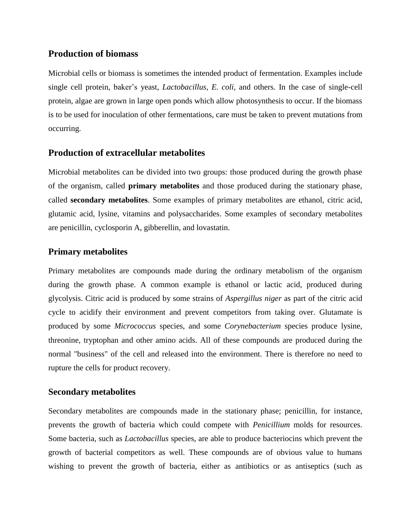## **Production of biomass**

[Microbial](https://en.wikipedia.org/wiki/Microbial) [cells](https://en.wikipedia.org/wiki/Cell_%28biology%29) or [biomass](https://en.wikipedia.org/wiki/Biomass) is sometimes the intended product of fermentation. Examples include [single cell protein,](https://en.wikipedia.org/wiki/Single_cell_protein) [baker's](https://en.wikipedia.org/wiki/Bakers_yeast) yeast, *[Lactobacillus,](https://en.wikipedia.org/wiki/Lactobacillus) [E. coli,](https://en.wikipedia.org/wiki/E._coli)* and others. In the case of single-cell protein, [algae](https://en.wikipedia.org/wiki/Algae) are grown in large open ponds which allow photosynthesis to occur. If the biomass is to be used for inoculation of other fermentations, care must be taken to prevent [mutations](https://en.wikipedia.org/wiki/Mutation) from occurring.

## **Production of extracellular metabolites**

Microbial [metabolites](https://en.wikipedia.org/wiki/Metabolite) can be divided into two groups: those produced during the growth phase of the organism, called **primary metabolites** and those produced during the stationary phase, called **secondary metabolites**. Some examples of primary metabolites are [ethanol,](https://en.wikipedia.org/wiki/Ethanol) [citric acid,](https://en.wikipedia.org/wiki/Citric_acid) [glutamic acid,](https://en.wikipedia.org/wiki/Glutamic_acid) [lysine,](https://en.wikipedia.org/wiki/Lysine) [vitamins](https://en.wikipedia.org/wiki/Vitamin) and [polysaccharides.](https://en.wikipedia.org/wiki/Polysaccharide) Some examples of secondary metabolites are [penicillin,](https://en.wikipedia.org/wiki/Penicillin) [cyclosporin A,](https://en.wikipedia.org/wiki/Cyclosporin_A) [gibberellin,](https://en.wikipedia.org/wiki/Gibberellin) and [lovastatin.](https://en.wikipedia.org/wiki/Lovastatin)

## **Primary metabolites**

[Primary metabolites](https://en.wikipedia.org/wiki/Primary_metabolite) are compounds made during the ordinary metabolism of the organism during the growth phase. A common example is ethanol or lactic acid, produced during [glycolysis.](https://en.wikipedia.org/wiki/Glycolysis) Citric acid is produced by some strains of *[Aspergillus niger](https://en.wikipedia.org/wiki/Aspergillus_niger)* as part of the [citric acid](https://en.wikipedia.org/wiki/Citric_acid_cycle)  [cycle](https://en.wikipedia.org/wiki/Citric_acid_cycle) to acidify their environment and prevent competitors from taking over. Glutamate is produced by some *[Micrococcus](https://en.wikipedia.org/wiki/Micrococcus)* species, and some *[Corynebacterium](https://en.wikipedia.org/wiki/Corynebacterium)* species produce lysine, threonine, tryptophan and other amino acids. All of these compounds are produced during the normal "business" of the cell and released into the environment. There is therefore no need to rupture the cells for product recovery.

## **Secondary metabolites**

[Secondary metabolites](https://en.wikipedia.org/wiki/Secondary_metabolite) are compounds made in the stationary phase; penicillin, for instance, prevents the growth of bacteria which could compete with *[Penicillium](https://en.wikipedia.org/wiki/Penicillium)* molds for resources. Some bacteria, such as *[Lactobacillus](https://en.wikipedia.org/wiki/Lactobacillus)* species, are able to produce [bacteriocins](https://en.wikipedia.org/wiki/Bacteriocin) which prevent the growth of bacterial competitors as well. These compounds are of obvious value to humans wishing to prevent the growth of bacteria, either as [antibiotics](https://en.wikipedia.org/wiki/Antibiotic) or as [antiseptics](https://en.wikipedia.org/wiki/Antiseptic) (such as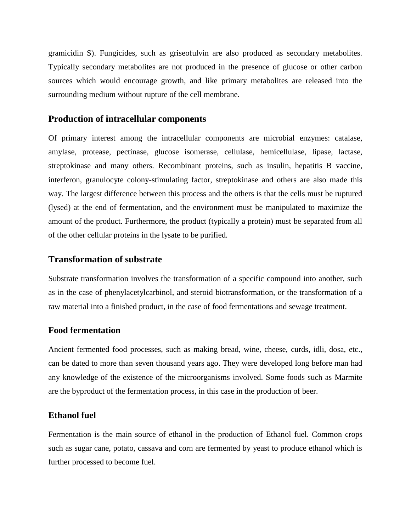[gramicidin S\)](https://en.wikipedia.org/wiki/Gramicidin_S). Fungicides, such as [griseofulvin](https://en.wikipedia.org/wiki/Griseofulvin) are also produced as secondary metabolites. Typically secondary metabolites are not produced in the presence of glucose or other carbon sources which would encourage growth, and like primary metabolites are released into the surrounding medium without rupture of the cell membrane.

#### **Production of intracellular components**

Of primary interest among the intracellular components are microbial [enzymes:](https://en.wikipedia.org/wiki/Enzyme) [catalase,](https://en.wikipedia.org/wiki/Catalase) [amylase,](https://en.wikipedia.org/wiki/Amylase) [protease,](https://en.wikipedia.org/wiki/Protease) [pectinase,](https://en.wikipedia.org/wiki/Pectinase) [glucose isomerase,](https://en.wikipedia.org/wiki/Glucose_isomerase) [cellulase,](https://en.wikipedia.org/wiki/Cellulase) [hemicellulase,](https://en.wikipedia.org/wiki/Hemicellulase) [lipase,](https://en.wikipedia.org/wiki/Lipase) [lactase,](https://en.wikipedia.org/wiki/Lactase) [streptokinase](https://en.wikipedia.org/wiki/Streptokinase) and many others. Recombinant proteins, such as [insulin,](https://en.wikipedia.org/wiki/Insulin) [hepatitis B vaccine,](https://en.wikipedia.org/wiki/Hepatitis_B_vaccine) [interferon,](https://en.wikipedia.org/wiki/Interferon) [granulocyte colony-stimulating factor,](https://en.wikipedia.org/wiki/Granulocyte_colony-stimulating_factor) [streptokinase](https://en.wikipedia.org/wiki/Streptokinase) and others are also made this way. The largest difference between this process and the others is that the cells must be ruptured (lysed) at the end of fermentation, and the environment must be manipulated to maximize the amount of the product. Furthermore, the product (typically a protein) must be separated from all of the other cellular proteins in the lysate to be purified.

## **Transformation of substrate**

Substrate transformation involves the transformation of a specific compound into another, such as in the case of [phenylacetylcarbinol,](https://en.wikipedia.org/wiki/Phenylacetylcarbinol) and [steroid](https://en.wikipedia.org/wiki/Steroid) [biotransformation,](https://en.wikipedia.org/wiki/Biotransformation) or the transformation of a raw material into a finished product, in the case of food fermentations and sewage treatment.

#### **Food fermentation**

Ancient fermented food processes, such as making [bread,](https://en.wikipedia.org/wiki/Bread) [wine,](https://en.wikipedia.org/wiki/Wine) [cheese,](https://en.wikipedia.org/wiki/Cheese) [curds,](https://en.wikipedia.org/wiki/Curds) [idli,](https://en.wikipedia.org/wiki/Idli) [dosa,](https://en.wikipedia.org/wiki/Dosa) etc., can be dated to more than [seven thousand years ago.](https://en.wikipedia.org/wiki/5th_millennium_BC) They were developed long before man had any knowledge of the existence of the [microorganisms](https://en.wikipedia.org/wiki/Microorganism) involved. Some foods such as [Marmite](https://en.wikipedia.org/wiki/Marmite) are the byproduct of the fermentation process, in this case in the production of [beer.](https://en.wikipedia.org/wiki/Beer)

### **Ethanol fuel**

Fermentation is the main source of ethanol in the production of [Ethanol fuel.](https://en.wikipedia.org/wiki/Ethanol_fuel) Common crops such as sugar cane, potato, cassava and corn are fermented by yeast to produce ethanol which is further processed to become fuel.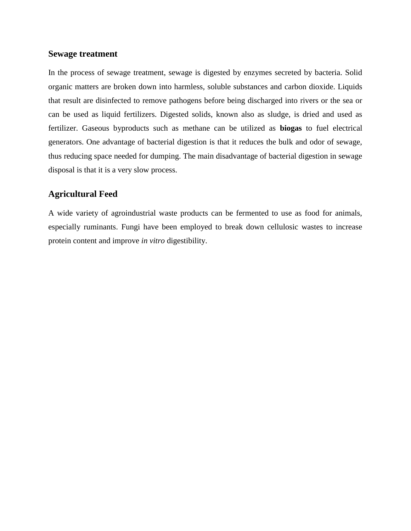#### **Sewage treatment**

In the process of sewage treatment, sewage is digested by enzymes secreted by bacteria. Solid organic matters are broken down into harmless, soluble substances and carbon dioxide. Liquids that result are disinfected to remove pathogens before being discharged into rivers or the sea or can be used as liquid fertilizers. Digested solids, known also as sludge, is dried and used as fertilizer. Gaseous byproducts such as methane can be utilized as **[biogas](https://en.wikipedia.org/wiki/Biogas)** to fuel electrical generators. One advantage of bacterial digestion is that it reduces the bulk and odor of sewage, thus reducing space needed for dumping. The main disadvantage of bacterial digestion in sewage disposal is that it is a very slow process.

## **Agricultural Feed**

A wide variety of agroindustrial waste products can be fermented to use as food for animals, especially ruminants. Fungi have been employed to break down cellulosic wastes to increase protein content and improve *in vitro* digestibility.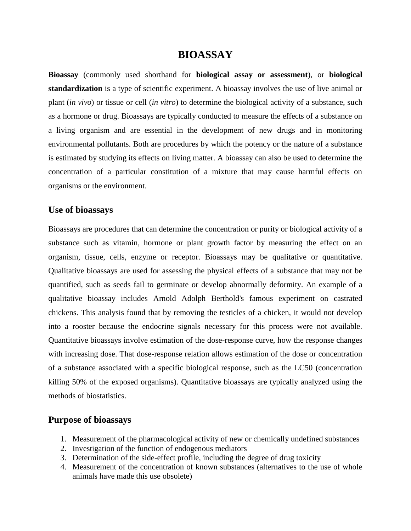# **BIOASSAY**

**Bioassay** (commonly used shorthand for **biological assay or assessment**), or **biological standardization** is a type of scientific [experiment.](https://en.wikipedia.org/wiki/Experiment) A bioassay involves the use of live animal or plant (*in vivo*) or tissue or cell (*in vitro*) to determine the biological activity of a substance, such as a hormone or drug. Bioassays are typically conducted to measure the effects of a substance on a living [organism](https://en.wikipedia.org/wiki/Organism) and are essential in the development of new [drugs](https://en.wikipedia.org/wiki/Drugs) and in monitoring environmental [pollutants.](https://en.wikipedia.org/wiki/Pollutant) Both are procedures by which the [potency](https://en.wikipedia.org/wiki/Potency_%28pharmacology%29) or the nature of a substance is estimated by studying its effects on [living matter.](https://en.wikipedia.org/wiki/Living_matter) A bioassay can also be used to determine the concentration of a particular constitution of a mixture that may cause harmful effects on organisms or the environment.

#### **Use of bioassays**

Bioassays are procedures that can determine the concentration or purity or biological activity of a substance such as vitamin, hormone or plant growth factor by measuring the effect on an organism, tissue, cells, enzyme or receptor. Bioassays may be [qualitative](https://en.wiktionary.org/wiki/qualitative) or [quantitative.](https://en.wiktionary.org/wiki/quantitative) Qualitative bioassays are used for assessing the physical effects of a substance that may not be quantified, such as seeds fail to germinate or develop abnormally [deformity.](https://en.wikipedia.org/wiki/Deformity) An example of a qualitative bioassay includes [Arnold Adolph Berthold's](https://en.wikipedia.org/wiki/Arnold_Adolph_Berthold) famous experiment on castrated chickens. This analysis found that by removing the testicles of a chicken, it would not develop into a rooster because the endocrine signals necessary for this process were not available. Quantitative bioassays involve estimation of the dose-response curve, how the response changes with increasing dose. That dose-response relation allows estimation of the dose or concentration of a substance associated with a specific biological response, such as the LC50 (concentration killing 50% of the exposed organisms). Quantitative bioassays are typically analyzed using the methods of [biostatistics.](https://en.wikipedia.org/wiki/Biostatistics)

## **Purpose of bioassays**

- 1. Measurement of the [pharmacological](https://en.wikipedia.org/wiki/Pharmacology) activity of new or chemically undefined substances
- 2. Investigation of the function of [endogenous mediators](https://en.wikipedia.org/wiki/Endogenous_mediator)
- 3. Determination of the [side-effect profile,](https://en.wikipedia.org/wiki/Adverse_effect_%28medicine%29) including the degree of [drug toxicity](https://en.wikipedia.org/wiki/Drug_toxicity)
- 4. Measurement of the concentration of known substances (alternatives to the use of whole animals have made this use obsolete)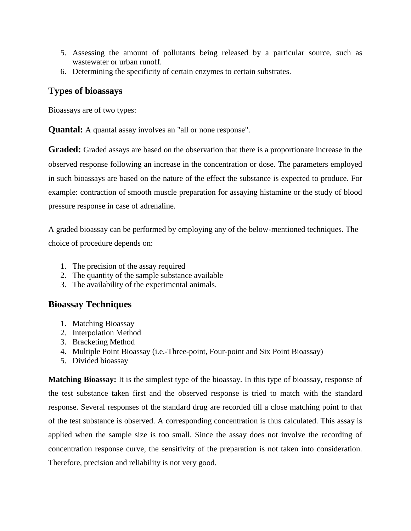- 5. Assessing the amount of pollutants being released by a particular source, such as [wastewater](https://en.wikipedia.org/wiki/Wastewater) or [urban](https://en.wikipedia.org/wiki/Urban_area) [runoff.](https://en.wikipedia.org/wiki/Surface_runoff)
- 6. Determining the specificity of certain enzymes to certain substrates.

# **Types of bioassays**

Bioassays are of two types:

**Quantal:** A quantal assay involves an "all or none response".

**Graded:** Graded assays are based on the observation that there is a proportionate increase in the observed response following an increase in the concentration or dose. The parameters employed in such bioassays are based on the nature of the effect the substance is expected to produce. For example: contraction of smooth muscle preparation for assaying histamine or the study of blood pressure response in case of adrenaline.

A graded bioassay can be performed by employing any of the below-mentioned techniques. The choice of procedure depends on:

- 1. The precision of the assay required
- 2. The quantity of the sample substance available
- 3. The availability of the experimental animals.

# **Bioassay Techniques**

- 1. Matching Bioassay
- 2. Interpolation Method
- 3. Bracketing Method
- 4. Multiple Point Bioassay (i.e.-Three-point, Four-point and Six Point Bioassay)
- 5. Divided bioassay

**Matching Bioassay:** It is the simplest type of the bioassay. In this type of bioassay, response of the test substance taken first and the observed response is tried to match with the standard response. Several responses of the standard drug are recorded till a close matching point to that of the test substance is observed. A corresponding concentration is thus calculated. This assay is applied when the sample size is too small. Since the assay does not involve the recording of concentration response curve, the sensitivity of the preparation is not taken into consideration. Therefore, precision and reliability is not very good.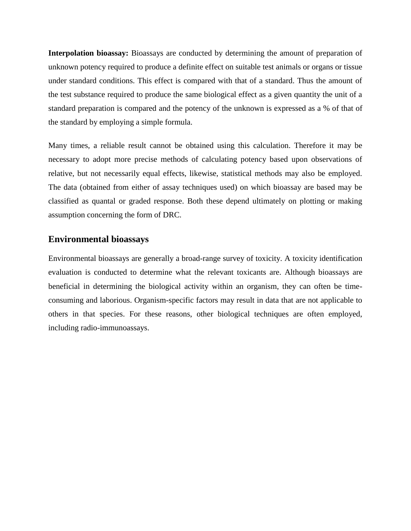**Interpolation bioassay:** Bioassays are conducted by determining the amount of preparation of unknown potency required to produce a definite effect on suitable test animals or organs or tissue under standard conditions. This effect is compared with that of a standard. Thus the amount of the test substance required to produce the same biological effect as a given quantity the unit of a standard preparation is compared and the potency of the unknown is expressed as a % of that of the standard by employing a simple formula.

Many times, a reliable result cannot be obtained using this calculation. Therefore it may be necessary to adopt more precise methods of calculating potency based upon observations of relative, but not necessarily equal effects, likewise, statistical methods may also be employed. The data (obtained from either of assay techniques used) on which bioassay are based may be classified as quantal or graded response. Both these depend ultimately on plotting or making assumption concerning the form of DRC.

## **Environmental bioassays**

Environmental bioassays are generally a broad-range survey of [toxicity.](https://en.wikipedia.org/wiki/Toxicity) A toxicity identification evaluation is conducted to determine what the relevant [toxicants](https://en.wikipedia.org/wiki/Toxicant) are. Although bioassays are beneficial in determining the biological activity within an organism, they can often be timeconsuming and laborious. Organism-specific factors may result in data that are not applicable to others in that species. For these reasons, other biological techniques are often employed, including [radio-immunoassays.](https://en.wikipedia.org/wiki/Radioimmunoassay)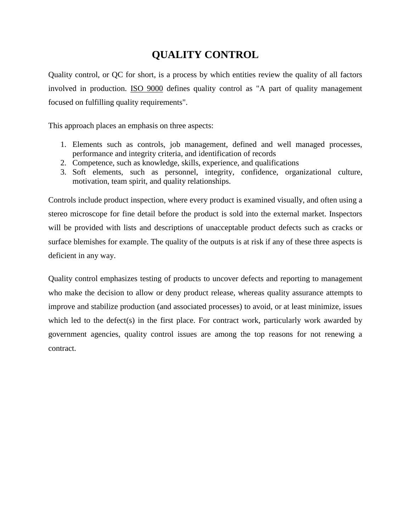# **QUALITY CONTROL**

Quality control, or QC for short, is a process by which entities review the quality of all factors involved in production. [ISO 9000](https://en.wikipedia.org/wiki/ISO_9000) defines quality control as "A part of quality management focused on fulfilling quality requirements".

This approach places an emphasis on three aspects:

- 1. Elements such as controls, job management, defined and well managed processes, performance and integrity criteria, and identification of records
- 2. Competence, such as knowledge, skills, experience, and qualifications
- 3. Soft elements, such as personnel, [integrity,](https://en.wikipedia.org/wiki/Integrity) [confidence,](https://en.wikipedia.org/wiki/Confidence) [organizational culture,](https://en.wikipedia.org/wiki/Organizational_culture) [motivation,](https://en.wikipedia.org/wiki/Motivation) [team spirit,](https://en.wikipedia.org/wiki/Team_spirit) and quality relationships.

Controls include product [inspection,](https://en.wikipedia.org/wiki/Inspection) where every product is examined visually, and often using a [stereo microscope](https://en.wikipedia.org/wiki/Stereo_microscope) for fine detail before the product is sold into the external market. Inspectors will be provided with lists and descriptions of unacceptable [product defects](https://en.wikipedia.org/wiki/Product_defect) such as [cracks](https://en.wikipedia.org/wiki/Fracture) or surface [blemishes](https://en.wiktionary.org/wiki/blemish) for example. The quality of the outputs is at risk if any of these three aspects is deficient in any way.

Quality control emphasizes [testing](https://en.wikipedia.org/wiki/Test_method) of [products](https://en.wikipedia.org/wiki/Product_%28business%29) to uncover defects and reporting to management who make the decision to allow or deny product release, whereas [quality assurance](https://en.wikipedia.org/wiki/Quality_assurance) attempts to improve and stabilize production (and associated processes) to avoid, or at least minimize, issues which led to the defect(s) in the first place. For contract work, particularly work awarded by government agencies, quality control issues are among the top reasons for not renewing a contract.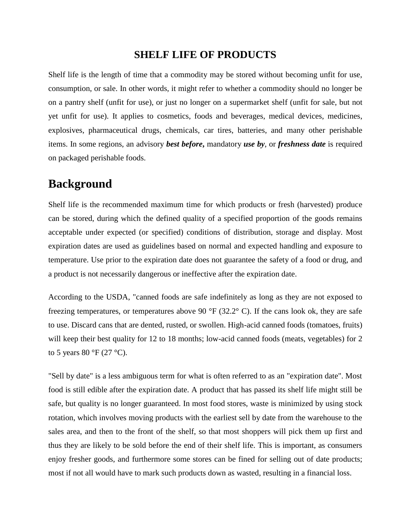# **SHELF LIFE OF PRODUCTS**

Shelf life is the length of time that a commodity may be stored without becoming unfit for use, consumption, or sale. In other words, it might refer to whether a commodity should no longer be on a pantry shelf (unfit for use), or just no longer on a supermarket shelf (unfit for sale, but not yet unfit for use). It applies to [cosmetics,](https://en.wikipedia.org/wiki/Cosmetics) [foods](https://en.wikipedia.org/wiki/Food) and [beverages,](https://en.wikipedia.org/wiki/Drink) [medical devices,](https://en.wikipedia.org/wiki/Medical_device) [medicines,](https://en.wikipedia.org/wiki/Medicine) [explosives,](https://en.wikipedia.org/wiki/Explosives) [pharmaceutical drugs,](https://en.wikipedia.org/wiki/Pharmaceutical_drug) [chemicals,](https://en.wikipedia.org/wiki/Chemical) [car tires,](https://en.wikipedia.org/wiki/Tire) [batteries,](https://en.wikipedia.org/wiki/Battery_%28electricity%29) and many other [perishable](https://en.wikipedia.org/wiki/Decomposition) items. In some regions, an advisory *best before***,** mandatory *use by*, or *freshness date* is required on packaged perishable foods.

# **Background**

Shelf life is the recommended maximum time for which products or fresh (harvested) produce can be stored, during which the defined quality of a specified proportion of the goods remains acceptable under expected (or specified) conditions of distribution, storage and display. Most expiration dates are used as guidelines based on normal and expected handling and exposure to temperature. Use prior to the expiration date does not guarantee the safety of a food or drug, and a product is not necessarily dangerous or ineffective after the expiration date.

According to the USDA, "canned foods are safe indefinitely as long as they are not exposed to freezing temperatures, or temperatures above 90  $\degree$ F (32.2 $\degree$  C). If the cans look ok, they are safe to use. Discard cans that are dented, rusted, or swollen. High-acid canned foods (tomatoes, fruits) will keep their best quality for 12 to 18 months; low-acid canned foods (meats, vegetables) for 2 to 5 years 80 °F (27 °C).

"Sell by date" is a less ambiguous term for what is often referred to as an "expiration date". Most food is still edible after the expiration date. A product that has passed its shelf life might still be safe, but quality is no longer guaranteed. In most food stores, waste is minimized by using [stock](https://en.wikipedia.org/wiki/Stock_rotation)  [rotation,](https://en.wikipedia.org/wiki/Stock_rotation) which involves moving products with the earliest sell by date from the warehouse to the sales area, and then to the front of the shelf, so that most shoppers will pick them up first and thus they are likely to be sold before the end of their shelf life. This is important, as consumers enjoy fresher goods, and furthermore some stores can be fined for selling out of date products; most if not all would have to mark such products down as [wasted,](https://en.wikipedia.org/wiki/Food_waste) resulting in a financial loss.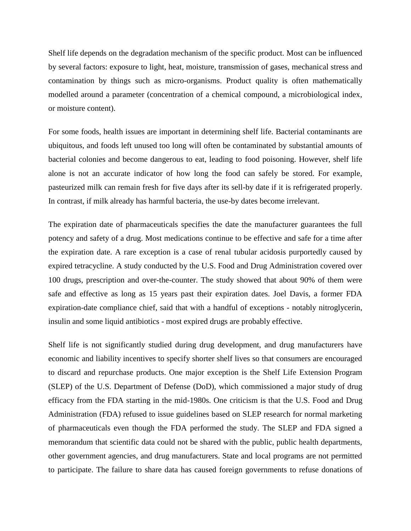Shelf life depends on the degradation mechanism of the specific product. Most can be influenced by several factors: exposure to [light,](https://en.wikipedia.org/wiki/Light) [heat,](https://en.wikipedia.org/wiki/Heat) moisture, transmission of [gase](https://en.wikipedia.org/wiki/Gas)s, mechanical [stress](https://en.wikipedia.org/wiki/Stress_%28physics%29) and contamination by things such as micro-organisms. Product quality is often mathematically modelled around a parameter (concentration of a chemical compound, a microbiological index, or moisture content).

For some foods, health issues are important in determining shelf life. Bacterial contaminants are ubiquitous, and foods left unused too long will often be contaminated by substantial amounts of bacterial colonies and become dangerous to eat, leading to [food poisoning.](https://en.wikipedia.org/wiki/Food_poisoning) However, shelf life alone is not an accurate indicator of how long the food can safely be stored. For example, pasteurized milk can remain fresh for five days after its sell-by date if it is refrigerated properly. In contrast, if milk already has harmful bacteria, the use-by dates become irrelevant.

The expiration date of pharmaceuticals specifies the date the manufacturer guarantees the full potency and safety of a drug. Most medications continue to be effective and safe for a time after the expiration date. A rare exception is a case of renal tubular acidosis purportedly caused by expired [tetracycline.](https://en.wikipedia.org/wiki/Tetracycline) A study conducted by the U.S. Food and Drug Administration covered over 100 drugs, prescription and over-the-counter. The study showed that about 90% of them were safe and effective as long as 15 years past their expiration dates. Joel Davis, a former FDA expiration-date compliance chief, said that with a handful of exceptions - notably nitroglycerin, insulin and some liquid antibiotics - most expired drugs are probably effective.

Shelf life is not significantly studied during drug development, and drug manufacturers have economic and liability incentives to specify shorter shelf lives so that consumers are encouraged to discard and repurchase products. One major exception is the [Shelf Life Extension Program](https://en.wikipedia.org/wiki/Shelf_Life_Extension_Program) (SLEP) of the [U.S. Department of Defense](https://en.wikipedia.org/wiki/U.S._Department_of_Defense) (DoD), which commissioned a major study of drug efficacy from the FDA starting in the mid-1980s. One criticism is that the U.S. [Food and Drug](https://en.wikipedia.org/wiki/Food_and_Drug_Administration)  [Administration](https://en.wikipedia.org/wiki/Food_and_Drug_Administration) (FDA) refused to issue guidelines based on SLEP research for normal marketing of pharmaceuticals even though the FDA performed the study. The SLEP and FDA signed a memorandum that scientific data could not be shared with the public, public health departments, other government agencies, and drug manufacturers. State and local programs are not permitted to participate. The failure to share data has caused foreign governments to refuse donations of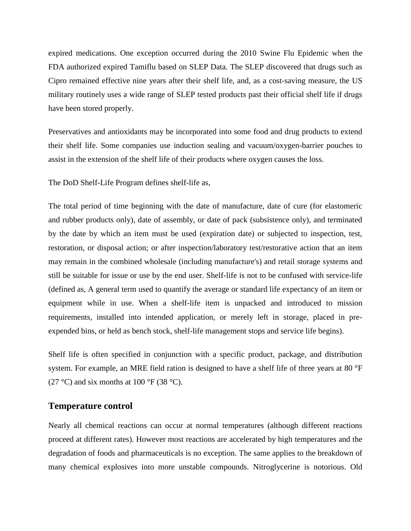expired medications. One exception occurred during the 2010 [Swine Flu Epidemic](https://en.wikipedia.org/wiki/Swine_flu_%28outbreak_in_the_US%29) when the FDA authorized expired [Tamiflu](https://en.wikipedia.org/wiki/Tamiflu) based on SLEP Data. The SLEP discovered that drugs such as [Cipro](https://en.wikipedia.org/wiki/Cipro) remained effective nine years after their shelf life, and, as a cost-saving measure, the US military routinely uses a wide range of SLEP tested products past their official shelf life if drugs have been stored properly.

[Preservatives](https://en.wikipedia.org/wiki/Preservative) and [antioxidants](https://en.wikipedia.org/wiki/Antioxidant) may be incorporated into some food and drug products to extend their shelf life. Some companies use [induction sealing](https://en.wikipedia.org/wiki/Induction_sealing) and [vacuum/](https://en.wikipedia.org/wiki/Vacuum)oxygen-barrier pouches to assist in the extension of the shelf life of their products where oxygen causes the loss.

The DoD Shelf-Life Program defines shelf-life as,

The total period of time beginning with the date of manufacture, date of cure (for elastomeric and rubber products only), date of assembly, or date of pack (subsistence only), and terminated by the date by which an item must be used (expiration date) or subjected to inspection, test, restoration, or disposal action; or after inspection/laboratory test/restorative action that an item may remain in the combined wholesale (including manufacture's) and retail storage systems and still be suitable for issue or use by the end user. Shelf-life is not to be confused with service-life (defined as, A general term used to quantify the average or standard life expectancy of an item or equipment while in use. When a shelf-life item is unpacked and introduced to mission requirements, installed into intended application, or merely left in storage, placed in preexpended bins, or held as [bench stock,](https://en.wikipedia.org/w/index.php?title=Bench_stock&action=edit&redlink=1) shelf-life management stops and service life begins).

Shelf life is often specified in conjunction with a specific product, package, and distribution system. For example, an [MRE](https://en.wikipedia.org/wiki/MRE) [field ration](https://en.wikipedia.org/wiki/Field_ration) is designed to have a shelf life of three years at 80 °F (27 °C) and six months at 100 °F (38 °C).

#### **Temperature control**

Nearly all chemical reactions can occur at normal temperatures (although different reactions proceed at different rates). However most reactions are accelerated by high temperatures and the degradation of foods and pharmaceuticals is no exception. The same applies to the breakdown of many chemical explosives into more unstable compounds. [Nitroglycerine](https://en.wikipedia.org/wiki/Nitroglycerin) is notorious. Old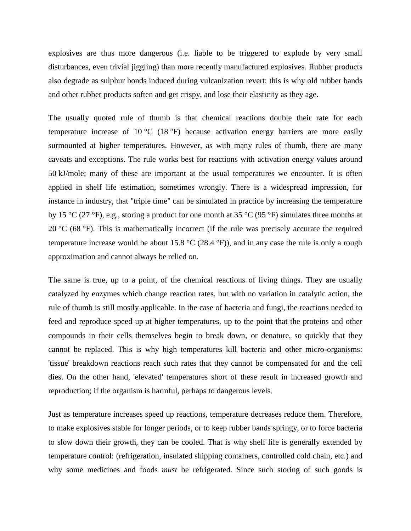[explosives](https://en.wikipedia.org/wiki/Explosive_material) are thus more dangerous (i.e. liable to be triggered to explode by very small disturbances, even trivial jiggling) than more recently manufactured explosives. [Rubber](https://en.wikipedia.org/wiki/Rubber) products also degrade as [sulphur](https://en.wikipedia.org/wiki/Sulfur) [bonds](https://en.wikipedia.org/wiki/Chemical_bond) induced during [vulcanization](https://en.wikipedia.org/wiki/Vulcanization) revert; this is why old [rubber bands](https://en.wikipedia.org/wiki/Rubber_band) and other rubber products soften and get crispy, and lose their elasticity as they age.

The usually quoted [rule of thumb](https://en.wikipedia.org/wiki/Rule_of_thumb) is that chemical reactions double their rate for each temperature increase of 10 °C (18 °F) because [activation energy](https://en.wikipedia.org/wiki/Activation_energy) barriers are more easily surmounted at higher temperatures. However, as with many rules of thumb, there are many [caveats](https://en.wiktionary.org/wiki/caveat) and exceptions. The rule works best for reactions with [activation energy](https://en.wikipedia.org/wiki/Activation_energy) values around 50 kJ/mole; many of these are important at the usual temperatures we encounter. It is often applied in shelf life estimation, sometimes wrongly. There is a widespread impression, for instance in industry, that "triple time" can be simulated in practice by increasing the temperature by 15 °C (27 °F), e.g., storing a product for one month at 35 °C (95 °F) simulates three months at 20 °C (68 °F). This is mathematically incorrect (if the rule was precisely accurate the required temperature increase would be about 15.8  $\rm{°C}$  (28.4  $\rm{°F}$ )), and in any case the rule is only a rough approximation and cannot always be relied on.

The same is true, up to a point, of the chemical reactions of living things. They are usually catalyzed by [enzymes](https://en.wikipedia.org/wiki/Enzyme) which change reaction rates, but with no variation in catalytic action, the rule of thumb is still mostly applicable. In the case of [bacteria](https://en.wikipedia.org/wiki/Bacterium) and [fungi,](https://en.wikipedia.org/wiki/Fungi) the reactions needed to feed and reproduce speed up at higher temperatures, up to the point that the proteins and other compounds in their cells themselves begin to break down, or [denature,](https://en.wikipedia.org/wiki/Denaturation_%28biochemistry%29) so quickly that they cannot be replaced. This is why high temperatures kill bacteria and other micro-organisms: 'tissue' breakdown reactions reach such rates that they cannot be compensated for and the cell dies. On the other hand, 'elevated' temperatures short of these result in increased growth and reproduction; if the organism is harmful, perhaps to dangerous levels.

Just as temperature increases speed up reactions, temperature decreases reduce them. Therefore, to make explosives stable for longer periods, or to keep rubber bands springy, or to force bacteria to slow down their growth, they can be cooled. That is why shelf life is generally extended by temperature control: [\(refrigeration,](https://en.wikipedia.org/wiki/Refrigeration) [insulated shipping containers,](https://en.wikipedia.org/wiki/Insulated_shipping_container) controlled [cold chain,](https://en.wikipedia.org/wiki/Cold_chain) etc.) and why some medicines and foods *must* be refrigerated. Since such storing of such goods is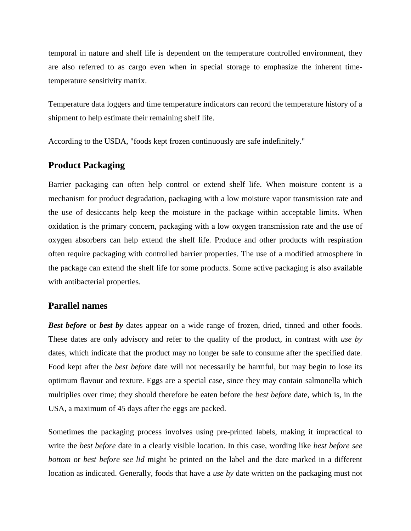temporal in nature and shelf life is dependent on the temperature controlled environment, they are also referred to as [cargo](https://en.wikipedia.org/wiki/Cargo) even when in special storage to emphasize the inherent timetemperature sensitivity matrix.

[Temperature data loggers](https://en.wikipedia.org/wiki/Temperature_data_logger) and [time temperature indicators](https://en.wikipedia.org/wiki/Time_temperature_indicator) can record the temperature history of a shipment to help estimate their remaining shelf life.

According to the [USDA,](https://en.wikipedia.org/wiki/USDA) "foods kept frozen continuously are safe indefinitely."

### **Product Packaging**

Barrier packaging can often help control or extend shelf life. When moisture content is a mechanism for product degradation, packaging with a low [moisture vapor transmission rate](https://en.wikipedia.org/wiki/Moisture_vapor_transmission_rate) and the use of [desiccants](https://en.wikipedia.org/wiki/Desiccant) help keep the moisture in the package within acceptable limits. When [oxidation](https://en.wikipedia.org/wiki/Oxidation) is the primary concern, packaging with a low [oxygen transmission rate](https://en.wikipedia.org/wiki/Oxygen_transmission_rate) and the use of [oxygen absorbers](https://en.wikipedia.org/wiki/Oxygen_absorber) can help extend the shelf life. [Produce](https://en.wikipedia.org/wiki/Produce) and other products with respiration often require packaging with controlled barrier properties. The use of a [modified atmosphere](https://en.wikipedia.org/wiki/Modified_atmosphere) in the package can extend the shelf life for some products. Some [active packaging](https://en.wikipedia.org/wiki/Active_packaging) is also available with antibacterial properties.

#### **Parallel names**

**Best before** or **best by** dates appear on a wide range of frozen, dried, tinned and other foods. These dates are only advisory and refer to the quality of the product, in contrast with *use by* dates, which indicate that the product may no longer be safe to consume after the specified date. Food kept after the *best before* date will not necessarily be harmful, but may begin to lose its optimum flavour and texture. Eggs are a special case, since they may contain [salmonella](https://en.wikipedia.org/wiki/Salmonella) which multiplies over time; they should therefore be eaten before the *best before* date, which is, in the USA, a maximum of 45 days after the eggs are packed.

Sometimes the packaging process involves using pre-printed labels, making it impractical to write the *best before* date in a clearly visible location. In this case, wording like *best before see bottom* or *best before see lid* might be printed on the label and the date marked in a different location as indicated. Generally, foods that have a *use by* date written on the packaging must not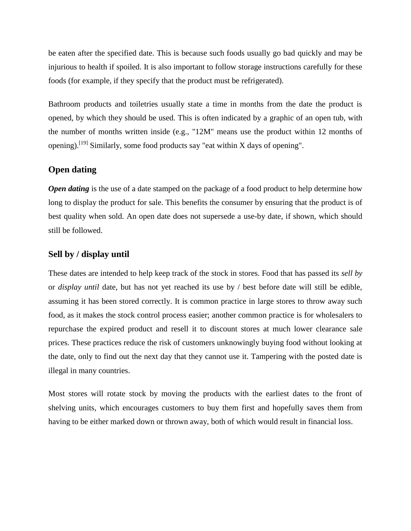be eaten after the specified date. This is because such foods usually go bad quickly and may be injurious to health if spoiled. It is also important to follow storage instructions carefully for these foods (for example, if they specify that the product must be [refrigerated\)](https://en.wikipedia.org/wiki/Refrigeration).

Bathroom products and toiletries usually state a time in months from the date the product is opened, by which they should be used. This is often indicated by a [graphic of an open tub,](https://en.wikipedia.org/wiki/Period-after-opening_symbol) with the number of months written inside (e.g., "12M" means use the product within 12 months of opening).<sup>[\[19\]](https://en.wikipedia.org/wiki/Shelf_life#cite_note-orus1-19)</sup> Similarly, some food products say "eat within X days of opening".

#### **Open dating**

*Open dating* is the use of a date stamped on the package of a food product to help determine how long to display the product for sale. This benefits the consumer by ensuring that the product is of best quality when sold. An open date does not supersede a [use-by date,](https://en.wikipedia.org/wiki/Shelf_life#Use_by) if shown, which should still be followed.

#### **Sell by / display until**

These dates are intended to help keep track of the stock in stores. Food that has passed its *sell by* or *display until* date, but has not yet reached its use by / best before date will still be edible, assuming it has been stored correctly. It is common practice in large stores to throw away such food, as it makes the stock control process easier; another common practice is for wholesalers to repurchase the expired product and resell it to [discount stores](https://en.wikipedia.org/wiki/Discount_store) at much lower [clearance sale](https://en.wikipedia.org/wiki/Closeout_%28sale%29) prices. These practices reduce the risk of customers unknowingly buying food without looking at the date, only to find out the next day that they cannot use it. Tampering with the posted date is illegal in many countries.

Most stores will [rotate stock](https://en.wikipedia.org/wiki/Stock_rotation) by moving the products with the earliest dates to the front of shelving units, which encourages customers to buy them first and hopefully saves them from having to be either marked down or thrown away, both of which would result in financial loss.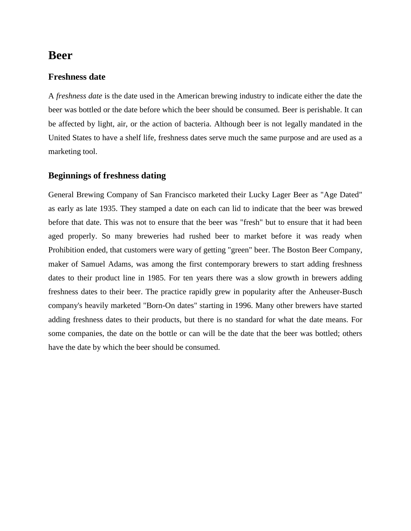# **Beer**

### **Freshness date**

A *freshness date* is the date used in the American brewing industry to indicate either the date the beer was bottled or the date before which the beer should be consumed. Beer is perishable. It can be affected by light, air, or the action of bacteria. Although beer is not legally mandated in the United States to have a shelf life, freshness dates serve much the same purpose and are used as a marketing tool.

## **Beginnings of freshness dating**

[General Brewing Company](https://en.wikipedia.org/wiki/Eugene_Selvage#Lucky_Lager_Brewing_Company) of San Francisco marketed their [Lucky Lager](https://en.wikipedia.org/wiki/Lucky_Lager) Beer as "Age Dated" as early as late 1935. They stamped a date on each can lid to indicate that the beer was brewed before that date. This was not to ensure that the beer was "fresh" but to ensure that it had been aged properly. So many breweries had rushed beer to market before it was ready when Prohibition ended, that customers were wary of getting "green" beer. The [Boston Beer Company,](https://en.wikipedia.org/wiki/Boston_Beer_Company) maker of [Samuel Adams,](https://en.wikipedia.org/wiki/Samuel_Adams_%28beer%29) was among the first contemporary brewers to start adding freshness dates to their product line in 1985. For ten years there was a slow growth in brewers adding freshness dates to their beer. The practice rapidly grew in popularity after the [Anheuser-Busch](https://en.wikipedia.org/wiki/Anheuser-Busch) company's heavily marketed "Born-On dates" starting in 1996. Many other brewers have started adding freshness dates to their products, but there is no standard for what the date means. For some companies, the date on the bottle or can will be the date that the beer was bottled; others have the date by which the beer should be consumed.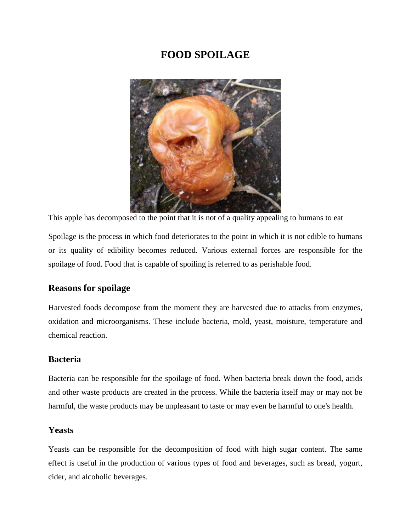# **FOOD SPOILAGE**



This apple has decomposed to the point that it is not of a quality appealing to humans to eat

Spoilage is the process in which [food](https://en.wikipedia.org/wiki/Food) deteriorates to the point in which it is not edible to humans or its quality of edibility becomes reduced. Various external forces are responsible for the spoilage of food. Food that is capable of spoiling is referred to as [perishable food.](https://en.wikipedia.org/wiki/Perishable_food)

# **Reasons for spoilage**

Harvested foods decompose from the moment they are harvested due to attacks from [enzymes,](https://en.wikipedia.org/wiki/Enzymes) oxidation and [microorganisms.](https://en.wikipedia.org/wiki/Microorganism) These include [bacteria,](https://en.wikipedia.org/wiki/Bacteria) [mold,](https://en.wikipedia.org/wiki/Mold) [yeast,](https://en.wikipedia.org/wiki/Yeast) moisture, temperature and chemical reaction.

## **Bacteria**

[Bacteria](https://en.wikipedia.org/wiki/Bacteria) can be responsible for the spoilage of food. When bacteria break down the food, [acids](https://en.wikipedia.org/wiki/Acid) and other waste products are created in the process. While the bacteria itself may or may not be harmful, the waste products may be unpleasant to taste or may even be harmful to one's health.

## **Yeasts**

[Yeasts](https://en.wikipedia.org/wiki/Yeast) can be responsible for the decomposition of food with high sugar content. The same effect is useful in the production of various types of food and beverages, such as [bread,](https://en.wikipedia.org/wiki/Bread) [yogurt,](https://en.wikipedia.org/wiki/Yogurt) [cider,](https://en.wikipedia.org/wiki/Cider) and [alcoholic beverages.](https://en.wikipedia.org/wiki/Alcoholic_beverage)